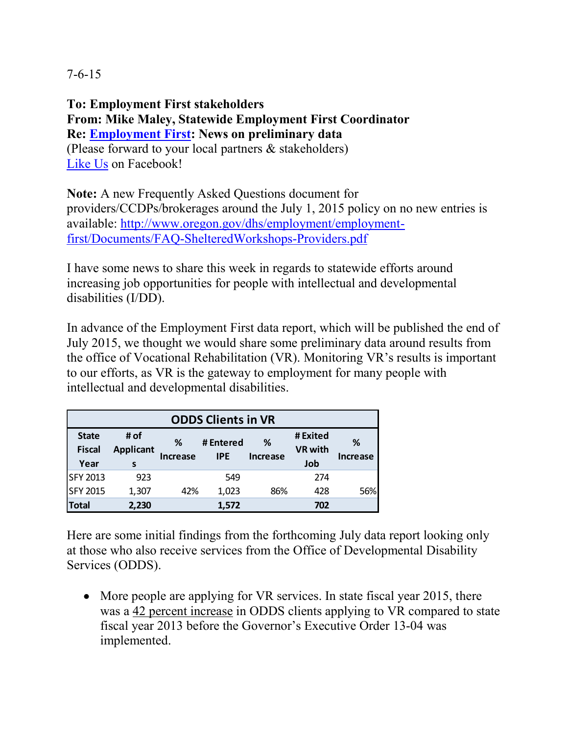7-6-15

**To: Employment First stakeholders From: Mike Maley, Statewide Employment First Coordinator Re: [Employment First:](http://iworkwesucceed.org/) News on preliminary data** (Please forward to your local partners & stakeholders) [Like Us](https://www.facebook.com/ORemploymentfirst) on Facebook!

**Note:** A new Frequently Asked Questions document for providers/CCDPs/brokerages around the July 1, 2015 policy on no new entries is available: [http://www.oregon.gov/dhs/employment/employment](http://www.oregon.gov/dhs/employment/employment-first/Documents/FAQ-ShelteredWorkshops-Providers.pdf)[first/Documents/FAQ-ShelteredWorkshops-Providers.pdf](http://www.oregon.gov/dhs/employment/employment-first/Documents/FAQ-ShelteredWorkshops-Providers.pdf)

I have some news to share this week in regards to statewide efforts around increasing job opportunities for people with intellectual and developmental disabilities (I/DD).

In advance of the Employment First data report, which will be published the end of July 2015, we thought we would share some preliminary data around results from the office of Vocational Rehabilitation (VR). Monitoring VR's results is important to our efforts, as VR is the gateway to employment for many people with intellectual and developmental disabilities.

| <b>ODDS Clients in VR</b>     |                          |          |                         |                 |                            |          |
|-------------------------------|--------------------------|----------|-------------------------|-----------------|----------------------------|----------|
| <b>State</b><br><b>Fiscal</b> | # of<br><b>Applicant</b> | %        | # Entered<br><b>IPE</b> | %               | # Exited<br><b>VR with</b> | ℅        |
| Year                          | s                        | Increase |                         | <b>Increase</b> | Job                        | Increase |
| <b>SFY 2013</b>               | 923                      |          | 549                     |                 | 274                        |          |
| <b>SFY 2015</b>               | 1,307                    | 42%      | 1,023                   | 86%             | 428                        | 56%      |
| <b>Total</b>                  | 2,230                    |          | 1,572                   |                 | 702                        |          |

Here are some initial findings from the forthcoming July data report looking only at those who also receive services from the Office of Developmental Disability Services (ODDS).

• More people are applying for VR services. In state fiscal year 2015, there was a 42 percent increase in ODDS clients applying to VR compared to state fiscal year 2013 before the Governor's Executive Order 13-04 was implemented.